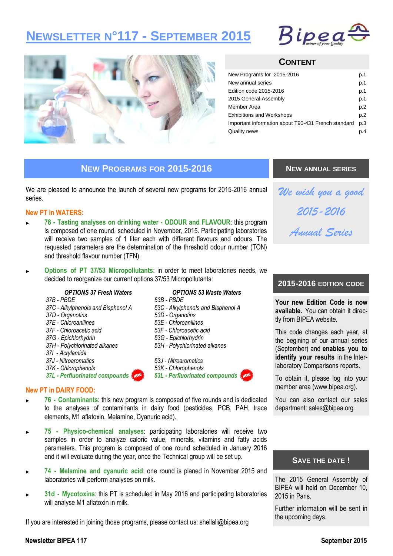# **NEWSLETTER N°117 - SEPTEMBER 2015**





# **CONTENT**

| New Programs for 2015-2016                          | p.1 |
|-----------------------------------------------------|-----|
| New annual series                                   | p.1 |
| Edition code 2015-2016                              | p.1 |
| 2015 General Assembly                               | p.1 |
| Member Area                                         | p.2 |
| <b>Exhibitions and Workshops</b>                    | p.2 |
| Important information about T90-431 French standard | p.3 |
| Quality news                                        | p.4 |
|                                                     |     |

# **NEW PROGRAMS FOR 2015-2016**

We are pleased to announce the launch of several new programs for 2015-2016 annual series.

### **New PT in WATERS:**

- ► **78 - Tasting analyses on drinking water - ODOUR and FLAVOUR**: this program is composed of one round, scheduled in November, 2015. Participating laboratories will receive two samples of 1 liter each with different flavours and odours. The requested parameters are the determination of the threshold odour number (TON) and threshold flavour number (TFN).
- ► **Options of PT 37/53 Micropollutants**: in order to meet laboratories needs, we decided to reorganize our current options 37/53 Micropollutants:

### *OPTIONS 37 Fresh Waters*

- *37B - PBDE*
- *37C - Alkylphenols and Bisphenol A*
- *37D - Organotins*
- *37E - Chloroanilines*
- *37F - Chloroacetic acid*
- *37G - Epichlorhydrin*
- *37H - Polychlorinated alkanes*
- *37I - Acrylamide*
- *37J - Nitroaromatics*
- *37K - Chlorophenols*
- *37L - Perfluorinated compounds*

### *OPTIONS 53 Waste Waters*

- *53B - PBDE*
- *53C - Alkylphenols and Bisphenol A*
- *53D - Organotins*
- *53E - Chloroanilines*
- *53F - Chloroacetic acid 53G - Epichlorhydrin*
- *53H - Polychlorinated alkanes*
- *53J - Nitroaromatics*
- *53K - Chlorophenols*
- *53L - Perfluorinated compounds*



- ► **76 - Contaminants**: this new program is composed of five rounds and is dedicated to the analyses of contaminants in dairy food (pesticides, PCB, PAH, trace elements, M1 aflatoxin, Melamine, Cyanuric acid).
- ► **75 - Physico-chemical analyses**: participating laboratories will receive two samples in order to analyze caloric value, minerals, vitamins and fatty acids parameters. This program is composed of one round scheduled in January 2016 and it will evoluate during the year, once the Technical group will be set up.
- ► **74 - Melamine and cyanuric acid**: one round is planed in November 2015 and laboratories will perform analyses on milk.
- 31d Mycotoxins: this PT is scheduled in May 2016 and participating laboratories will analyse M1 aflatoxin in milk.

If you are interested in joining those programs, please contact us: shellali@bipea.org

### **NEW ANNUAL SERIES**



# **2015-2016 EDITION CODE**

**Your new Edition Code is now available.** You can obtain it directly from BIPEA website.

This code changes each year, at the begining of our annual series (September) and **enables you to identify your results** in the Interlaboratory Comparisons reports.

To obtain it, please log into your member area (www.bipea.org).

You can also contact our sales department: sales@bipea.org

### **SAVE THE DATE !**

The 2015 General Assembly of BIPEA will held on December 10, 2015 in Paris.

Further information will be sent in the upcoming days.

### **Newsletter BIPEA 117 September 2015**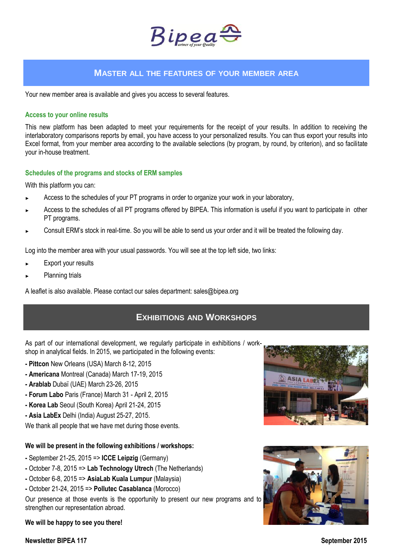

# **MASTER ALL THE FEATURES OF YOUR MEMBER AREA**

Your new member area is available and gives you access to several features.

### **Access to your online results**

This new platform has been adapted to meet your requirements for the receipt of your results. In addition to receiving the interlaboratory comparisons reports by email, you have access to your personalized results. You can thus export your results into Excel format, from your member area according to the available selections (by program, by round, by criterion), and so facilitate your in-house treatment.

### **Schedules of the programs and stocks of ERM samples**

With this platform you can:

- Access to the schedules of your PT programs in order to organize your work in your laboratory,
- Access to the schedules of all PT programs offered by BIPEA. This information is useful if you want to participate in other PT programs.
- Consult ERM's stock in real-time. So you will be able to send us your order and it will be treated the following day.

Log into the member area with your usual passwords. You will see at the top left side, two links:

- Export your results
- Planning trials

A leaflet is also available. Please contact our sales department: sales@bipea.org

# **EXHIBITIONS AND WORKSHOPS**

As part of our international development, we regularly participate in exhibitions / workshop in analytical fields. In 2015, we participated in the following events:

- **- Pittcon** New Orleans (USA) March 8-12, 2015
- **- Americana** Montreal (Canada) March 17-19, 2015
- **- Arablab** Dubaï (UAE) March 23-26, 2015
- **- Forum Labo** Paris (France) March 31 April 2, 2015
- **- Korea Lab** Seoul (South Korea) April 21-24, 2015
- **- Asia LabEx** Delhi (India) August 25-27, 2015.

We thank all people that we have met during those events.

### **We will be present in the following exhibitions / workshops:**

- **-** September 21-25, 2015 => **ICCE Leipzig** (Germany)
- **-** October 7-8, 2015 => **Lab Technology Utrech** (The Netherlands)
- **-** October 6-8, 2015 => **AsiaLab Kuala Lumpur** (Malaysia)
- **-** October 21-24, 2015 => **Pollutec Casablanca** (Morocco)

Our presence at those events is the opportunity to present our new programs and to strengthen our representation abroad.

**We will be happy to see you there!**



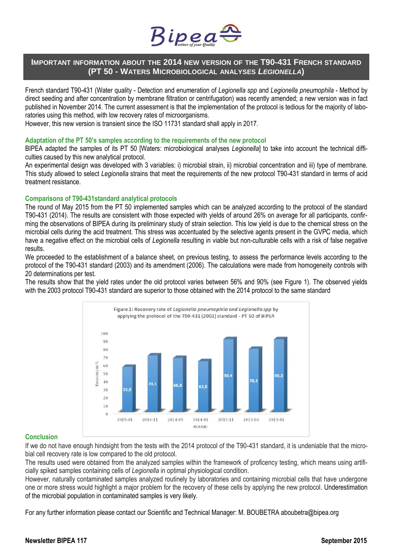

# **IMPORTANT INFORMATION ABOUT THE 2014 NEW VERSION OF THE T90-431 FRENCH STANDARD (PT 50 - WATERS MICROBIOLOGICAL ANALYSES** *LEGIONELLA***)**

French standard T90-431 (Water quality - Detection and enumeration of *Legionella spp* and *Legionella pneumophila* - Method by direct seeding and after concentration by membrane filtration or centrifugation) was recently amended; a new version was in fact published in November 2014. The current assessment is that the implementation of the protocol is tedious for the majority of laboratories using this method, with low recovery rates of microorganisms.

However, this new version is transient since the ISO 11731 standard shall apply in 2017.

### **Adaptation of the PT 50's samples according to the requirements of the new protocol**

BIPEA adapted the samples of its PT 50 [Waters: microbiological analyses *Legionella*] to take into account the technical difficulties caused by this new analytical protocol.

An experimental design was developed with 3 variables: i) microbial strain, ii) microbial concentration and iii) type of membrane. This study allowed to select *Legionella* strains that meet the requirements of the new protocol T90-431 standard in terms of acid treatment resistance.

### **Comparisons of T90-431standard analytical protocols**

The round of May 2015 from the PT 50 implemented samples which can be analyzed according to the protocol of the standard T90-431 (2014). The results are consistent with those expected with yields of around 26% on average for all participants, confirming the observations of BIPEA during its preliminary study of strain selection. This low yield is due to the chemical stress on the microbial cells during the acid treatment. This stress was accentuated by the selective agents present in the GVPC media, which have a negative effect on the microbial cells of *Legionella* resulting in viable but non-culturable cells with a risk of false negative results.

We proceeded to the establishment of a balance sheet, on previous testing, to assess the performance levels according to the protocol of the T90-431 standard (2003) and its amendment (2006). The calculations were made from homogeneity controls with 20 determinations per test.

The results show that the yield rates under the old protocol varies between 56% and 90% (see Figure 1). The observed yields with the 2003 protocol T90-431 standard are superior to those obtained with the 2014 protocol to the same standard



### **Conclusion**

If we do not have enough hindsight from the tests with the 2014 protocol of the T90-431 standard, it is undeniable that the microbial cell recovery rate is low compared to the old protocol.

The results used were obtained from the analyzed samples within the framework of proficency testing, which means using artificially spiked samples containing cells of *Legionella* in optimal physiological condition.

However, naturally contaminated samples analyzed routinely by laboratories and containing microbial cells that have undergone one or more stress would highlight a major problem for the recovery of these cells by applying the new protocol. Underestimation of the microbial population in contaminated samples is very likely.

For any further information please contact our Scientific and Technical Manager: M. BOUBETRA aboubetra@bipea.org